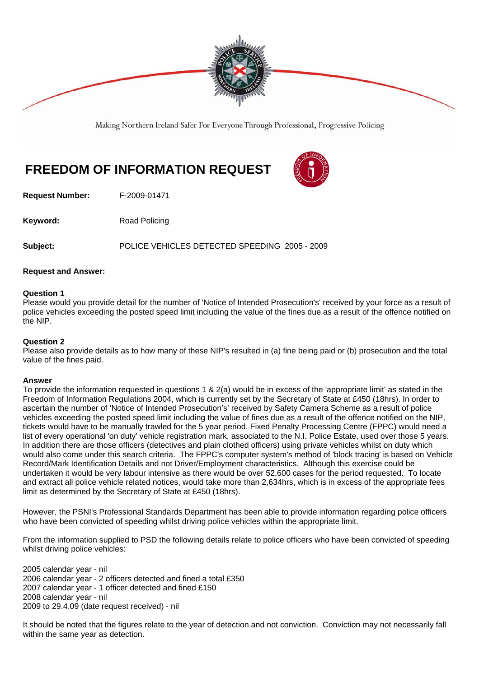

Making Northern Ireland Safer For Everyone Through Professional, Progressive Policing

# **FREEDOM OF INFORMATION REQUEST**



**Request Number:** F-2009-01471

**Keyword:** Road Policing

**Subject:** POLICE VEHICLES DETECTED SPEEDING 2005 - 2009

## **Request and Answer:**

#### **Question 1**

Please would you provide detail for the number of 'Notice of Intended Prosecution's' received by your force as a result of police vehicles exceeding the posted speed limit including the value of the fines due as a result of the offence notified on the NIP.

### **Question 2**

Please also provide details as to how many of these NIP's resulted in (a) fine being paid or (b) prosecution and the total value of the fines paid.

#### **Answer**

To provide the information requested in questions 1 & 2(a) would be in excess of the 'appropriate limit' as stated in the Freedom of Information Regulations 2004, which is currently set by the Secretary of State at £450 (18hrs). In order to ascertain the number of 'Notice of Intended Prosecution's' received by Safety Camera Scheme as a result of police vehicles exceeding the posted speed limit including the value of fines due as a result of the offence notified on the NIP, tickets would have to be manually trawled for the 5 year period. Fixed Penalty Processing Centre (FPPC) would need a list of every operational 'on duty' vehicle registration mark, associated to the N.I. Police Estate, used over those 5 years. In addition there are those officers (detectives and plain clothed officers) using private vehicles whilst on duty which would also come under this search criteria. The FPPC's computer system's method of 'block tracing' is based on Vehicle Record/Mark Identification Details and not Driver/Employment characteristics. Although this exercise could be undertaken it would be very labour intensive as there would be over 52,600 cases for the period requested. To locate and extract all police vehicle related notices, would take more than 2,634hrs, which is in excess of the appropriate fees limit as determined by the Secretary of State at £450 (18hrs).

However, the PSNI's Professional Standards Department has been able to provide information regarding police officers who have been convicted of speeding whilst driving police vehicles within the appropriate limit.

From the information supplied to PSD the following details relate to police officers who have been convicted of speeding whilst driving police vehicles:

2005 calendar year - nil 2006 calendar year - 2 officers detected and fined a total £350 2007 calendar year - 1 officer detected and fined £150 2008 calendar year - nil 2009 to 29.4.09 (date request received) - nil

It should be noted that the figures relate to the year of detection and not conviction. Conviction may not necessarily fall within the same year as detection.